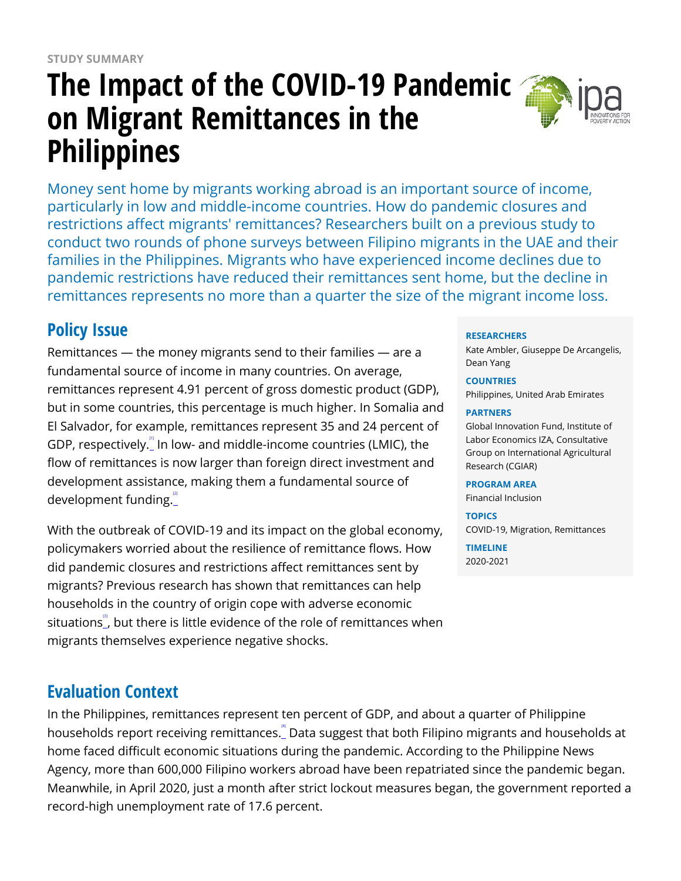# **The Impact of the COVID-19 Pandemic on Migrant Remittances in the Philippines**



Money sent home by migrants working abroad is an important source of income, particularly in low and middle-income countries. How do pandemic closures and restrictions affect migrants' remittances? Researchers built on a previous study to conduct two rounds of phone surveys between Filipino migrants in the UAE and their families in the Philippines. Migrants who have experienced income declines due to pandemic restrictions have reduced their remittances sent home, but the decline in remittances represents no more than a quarter the size of the migrant income loss.

# **Policy Issue**

Remittances — the money migrants send to their families — are a fundamental source of income in many countries. On average, remittances represent 4.91 percent of gross domestic product (GDP), but in some countries, this percentage is much higher. In Somalia and El Salvador, for example, remittances represent 35 and 24 percent of GDP, respectively. $\degree$  In low- and middle-income countries (LMIC), the flow of remittances is now larger than foreign direct investment and development assistance, making them a fundamental source of development funding.

With the outbreak of COVID-19 and its impact on the global economy, policymakers worried about the resilience of remittance flows. How did pandemic closures and restrictions affect remittances sent by migrants? Previous research has shown that remittances can help households in the country of origin cope with adverse economic situations $\mathbb{S}$ , but there is little evidence of the role of remittances when migrants themselves experience negative shocks.

# **Evaluation Context**

In the Philippines, remittances represent ten percent of GDP, and about a quarter of Philippine households report receiving remittances. Data suggest that both Filipino migrants and households at home faced difficult economic situations during the pandemic. According to the Philippine News Agency, more than 600,000 Filipino workers abroad have been repatriated since the pandemic began. Meanwhile, in April 2020, just a month after strict lockout measures began, the government reported a record-high unemployment rate of 17.6 percent.

### **RESEARCHERS**

Kate Ambler, Giuseppe De Arcangelis, Dean Yang

### **COUNTRIES**

Philippines, United Arab Emirates

### **PARTNERS**

Global Innovation Fund, Institute of Labor Economics IZA, Consultative Group on International Agricultural Research (CGIAR)

### **PROGRAM AREA**

Financial Inclusion

### **TOPICS**

COVID-19, Migration, Remittances

**TIMELINE** 2020-2021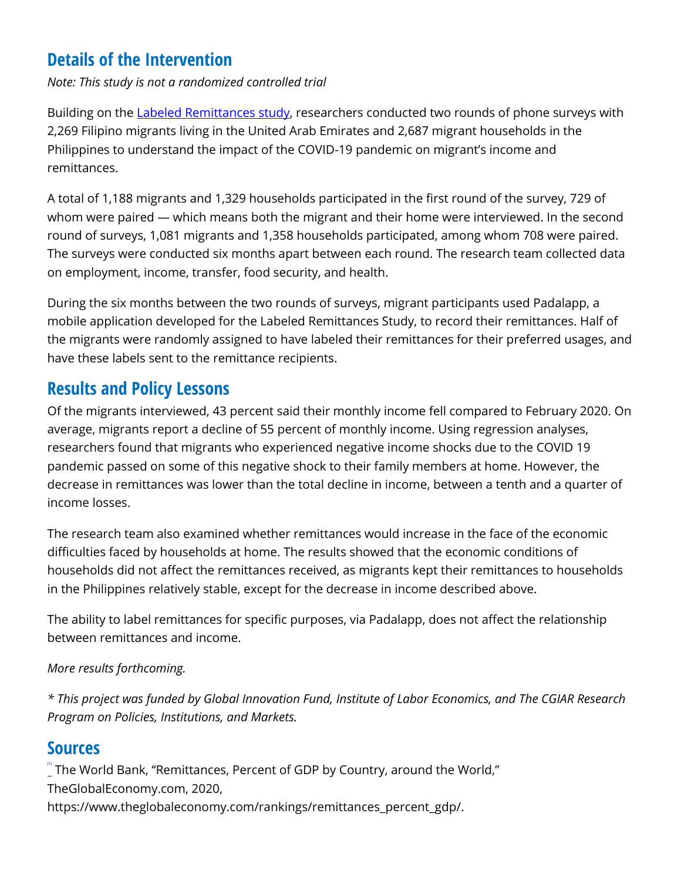# **Details of the Intervention**

*Note: This study is not a randomized controlled trial*

Building on the [Labeled Remittances study,](https://www.poverty-action.org/study/impacts-labeling-remittances-migrants-and-their-households-philippines) researchers conducted two rounds of phone surveys with 2,269 Filipino migrants living in the United Arab Emirates and 2,687 migrant households in the Philippines to understand the impact of the COVID-19 pandemic on migrant's income and remittances.

A total of 1,188 migrants and 1,329 households participated in the first round of the survey, 729 of whom were paired — which means both the migrant and their home were interviewed. In the second round of surveys, 1,081 migrants and 1,358 households participated, among whom 708 were paired. The surveys were conducted six months apart between each round. The research team collected data on employment, income, transfer, food security, and health.

During the six months between the two rounds of surveys, migrant participants used Padalapp, a mobile application developed for the Labeled Remittances Study, to record their remittances. Half of the migrants were randomly assigned to have labeled their remittances for their preferred usages, and have these labels sent to the remittance recipients.

## **Results and Policy Lessons**

Of the migrants interviewed, 43 percent said their monthly income fell compared to February 2020. On average, migrants report a decline of 55 percent of monthly income. Using regression analyses, researchers found that migrants who experienced negative income shocks due to the COVID 19 pandemic passed on some of this negative shock to their family members at home. However, the decrease in remittances was lower than the total decline in income, between a tenth and a quarter of income losses.

The research team also examined whether remittances would increase in the face of the economic difficulties faced by households at home. The results showed that the economic conditions of households did not affect the remittances received, as migrants kept their remittances to households in the Philippines relatively stable, except for the decrease in income described above.

The ability to label remittances for specific purposes, via Padalapp, does not affect the relationship between remittances and income.

### *More results forthcoming.*

*\* This project was funded by Global Innovation Fund, Institute of Labor Economics, and The CGIAR Research Program on Policies, Institutions, and Markets.* 

### **Sources**

 $\degree$  The World Bank, "Remittances, Percent of GDP by Country, around the World," TheGlobalEconomy.com, 2020, https://www.theglobaleconomy.com/rankings/remittances\_percent\_gdp/.